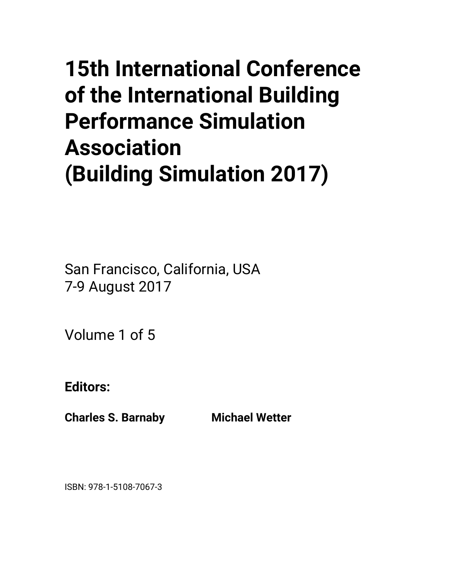# **15th International Conference of the International Building Performance Simulation Association (Building Simulation 2017)**

San Francisco, California, USA 7-9 August 2017

Volume 1 of 5

**Editors:** 

**Charles S. Barnaby Michael Wetter** 

ISBN: 978-1-5108-7067-3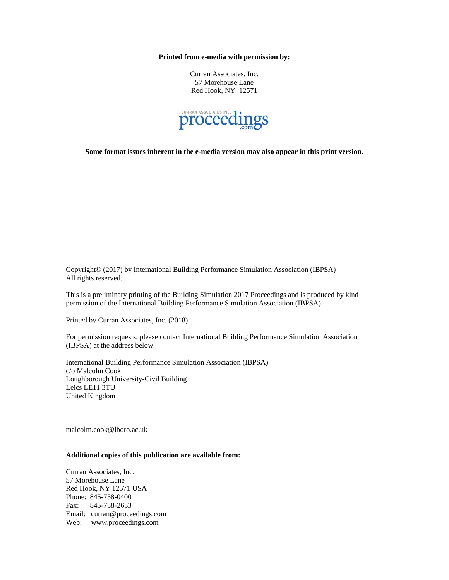**Printed from e-media with permission by:** 

Curran Associates, Inc. 57 Morehouse Lane Red Hook, NY 12571



**Some format issues inherent in the e-media version may also appear in this print version.** 

Copyright© (2017) by International Building Performance Simulation Association (IBPSA) All rights reserved.

This is a preliminary printing of the Building Simulation 2017 Proceedings and is produced by kind permission of the International Building Performance Simulation Association (IBPSA)

Printed by Curran Associates, Inc. (2018)

For permission requests, please contact International Building Performance Simulation Association (IBPSA) at the address below.

International Building Performance Simulation Association (IBPSA) c/o Malcolm Cook Loughborough University-Civil Building Leics LE11 3TU United Kingdom

malcolm.cook@lboro.ac.uk

#### **Additional copies of this publication are available from:**

Curran Associates, Inc. 57 Morehouse Lane Red Hook, NY 12571 USA Phone: 845-758-0400 Fax: 845-758-2633 Email: curran@proceedings.com Web: www.proceedings.com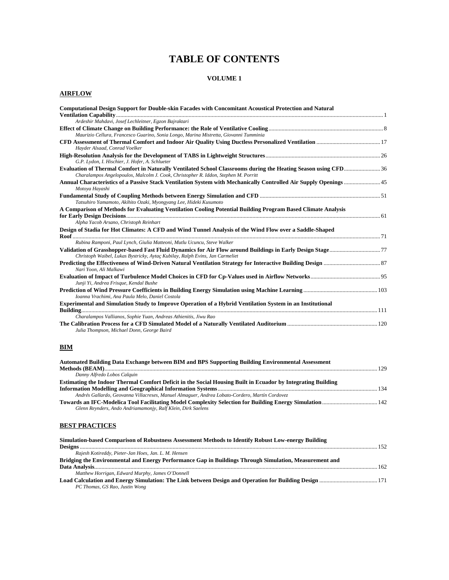# **TABLE OF CONTENTS**

#### **VOLUME 1**

#### **AIRFLOW**

| <b>Computational Design Support for Double-skin Facades with Concomitant Acoustical Protection and Natural</b>                                         |  |
|--------------------------------------------------------------------------------------------------------------------------------------------------------|--|
| Ardeshir Mahdavi, Josef Lechleitner, Egzon Bajraktari                                                                                                  |  |
|                                                                                                                                                        |  |
| Maurizio Cellura, Francesco Guarino, Sonia Longo, Marina Mistretta, Giovanni Tumminia                                                                  |  |
| Hayder Alsaad, Conrad Voelker                                                                                                                          |  |
| G.P. Lydon, I. Hischier, J. Hofer, A. Schlueter                                                                                                        |  |
| Charalampos Angelopoulos, Malcolm J. Cook, Christopher R. Iddon, Stephen M. Porritt                                                                    |  |
| Motoya Hayashi                                                                                                                                         |  |
| Tatsuhiro Yamamoto, Akihito Ozaki, Myongyang Lee, Hideki Kusumoto                                                                                      |  |
| A Comparison of Methods for Evaluating Ventilation Cooling Potential Building Program Based Climate Analysis<br>Alpha Yacob Arsano, Christoph Reinhart |  |
| Design of Stadia for Hot Climates: A CFD and Wind Tunnel Analysis of the Wind Flow over a Saddle-Shaped                                                |  |
| Rubina Ramponi, Paul Lynch, Giulia Matteoni, Mutlu Ucuncu, Steve Walker                                                                                |  |
| Christoph Waibel, Lukas Bystricky, Aytaç Kubilay, Ralph Evins, Jan Carmeliet                                                                           |  |
| Nari Yoon, Ali Malkawi                                                                                                                                 |  |
| Junji Yi, Andrea Frisque, Kendal Bushe                                                                                                                 |  |
| Ioanna Vrachimi, Ana Paula Melo, Daniel Costola                                                                                                        |  |
| <b>Experimental and Simulation Study to Improve Operation of a Hybrid Ventilation System in an Institutional</b>                                       |  |
| Charalampos Vallianos, Sophie Yuan, Andreas Athienitis, Jiwu Rao                                                                                       |  |
| Julia Thompson, Michael Donn, George Baird                                                                                                             |  |

#### **BIM**

| Automated Building Data Exchange between BIM and BPS Supporting Building Environmental Assessment            |  |
|--------------------------------------------------------------------------------------------------------------|--|
|                                                                                                              |  |
| Danny Alfredo Lobos Calquin                                                                                  |  |
| Estimating the Indoor Thermal Comfort Deficit in the Social Housing Built in Ecuador by Integrating Building |  |
|                                                                                                              |  |
| Andrés Gallardo, Geovanna Villacreses, Manuel Almaguer, Andrea Lobato-Cordero, Martín Cordovez               |  |
| Towards an IFC-Modelica Tool Facilitating Model Complexity Selection for Building Energy Simulation  142     |  |
| Glenn Reynders, Ando Andriamamonjy, Ralf Klein, Dirk Saelens                                                 |  |

#### **BEST PRACTICES**

| Simulation-based Comparison of Robustness Assessment Methods to Identify Robust Low-energy Building    |  |
|--------------------------------------------------------------------------------------------------------|--|
|                                                                                                        |  |
| Rajesh Kotireddy, Pieter-Jan Hoes, Jan. L. M. Hensen                                                   |  |
| Bridging the Environmental and Energy Performance Gap in Buildings Through Simulation, Measurement and |  |
|                                                                                                        |  |
| Matthew Horrigan, Edward Murphy, James O'Donnell                                                       |  |
|                                                                                                        |  |
| PC Thomas, GS Rao, Justin Wong                                                                         |  |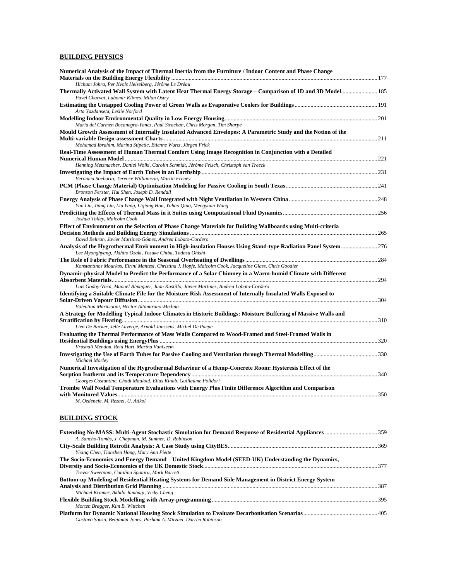#### **BUILDING PHYSICS**

| Numerical Analysis of the Impact of Thermal Inertia from the Furniture / Indoor Content and Phase Change        |  |
|-----------------------------------------------------------------------------------------------------------------|--|
|                                                                                                                 |  |
| Hicham Johra, Per Kvols Heiselberg, Jérôme Le Dréau                                                             |  |
| Pavel Charvat, Lubomir Klimes, Milan Ostry                                                                      |  |
| Arta Yazdanseta, Leslie Norford                                                                                 |  |
|                                                                                                                 |  |
| Maria del Carmen Bocanegra-Yanez, Paul Strachan, Chris Morgan, Tim Sharpe                                       |  |
| Mould Growth Assessment of Internally Insulated Advanced Envelopes: A Parametric Study and the Notion of the    |  |
| Mohamad Ibrahim, Marina Stipetic, Etienne Wurtz, Jürgen Frick                                                   |  |
| Real-Time Assessment of Human Thermal Comfort Using Image Recognition in Conjunction with a Detailed            |  |
| Henning Metzmacher, Daniel Wölki, Carolin Schmidt, Jérôme Frisch, Christoph van Treeck                          |  |
|                                                                                                                 |  |
| Veronica Soebarto, Terence Williamson, Martin Freney                                                            |  |
|                                                                                                                 |  |
| Bronson Ferster, Hui Shen, Joseph D. Rendall                                                                    |  |
|                                                                                                                 |  |
| Yan Liu, Jiang Liu, Liu Yang, Ligiang Hou, Yuhao Qiao, Mengyuan Wang                                            |  |
|                                                                                                                 |  |
| Joshua Tolley, Malcolm Cook                                                                                     |  |
| Effect of Environment on the Selection of Phase Change Materials for Building Wallboards using Multi-criteria   |  |
|                                                                                                                 |  |
| David Beltran, Javier Martínez-Gómez, Andrea Lobato-Cordero                                                     |  |
| Analysis of the Hygrothermal Environment in High-insulation Houses Using Stand-type Radiation Panel System 276  |  |
| Lee Myonghyang, Akihito Ozaki, Yosuke Chiba, Tadasu Ohishi                                                      |  |
| Konstantinos Mourkos, Eirini Mantesi, Christina J. Hopfe, Malcolm Cook, Jacqueline Glass, Chris Goodier         |  |
| Dynamic-physical Model to Predict the Performance of a Solar Chimney in a Warm-humid Climate with Different     |  |
|                                                                                                                 |  |
| Luis Godoy-Vaca, Manuel Almaguer, Juan Kastillo, Javier Martinez, Andrea Lobato-Cordero                         |  |
| Identifying a Suitable Climate File for the Moisture Risk Assessment of Internally Insulated Walls Exposed to   |  |
|                                                                                                                 |  |
| Valentina Marincioni, Hector Altamirano-Medina                                                                  |  |
| A Strategy for Modelling Typical Indoor Climates in Historic Buildings: Moisture Buffering of Massive Walls and |  |
|                                                                                                                 |  |
| Lien De Backer, Jelle Laverge, Arnold Janssens, Michel De Paepe                                                 |  |
| Evaluating the Thermal Performance of Mass Walls Compared to Wood-Framed and Steel-Framed Walls in              |  |
|                                                                                                                 |  |
| Vrushali Mendon, Reid Hart, Martha VanGeem                                                                      |  |
| Michael Morley                                                                                                  |  |
| Numerical Investigation of the Hygrothermal Behaviour of a Hemp-Concrete Room: Hysteresis Effect of the         |  |
|                                                                                                                 |  |
| Georges Costantine, Chadi Maalouf, Elias Kinab, Guillaume Polidori                                              |  |
| Trombe Wall Nodal Temperature Evaluations with Energy Plus Finite Difference Algorithm and Comparison           |  |
|                                                                                                                 |  |
| M. Ozdenefe, M. Rezaei, U. Atikol                                                                               |  |
|                                                                                                                 |  |
| <b>BUILDING STOCK</b>                                                                                           |  |
|                                                                                                                 |  |

| A. Sancho-Tomás, J. Chapman, M. Sumner, D. Robinson                                                    |        |
|--------------------------------------------------------------------------------------------------------|--------|
|                                                                                                        |        |
| Yixing Chen, Tianzhen Hong, Mary Ann Piette                                                            |        |
| The Socio-Economics and Energy Demand – United Kingdom Model (SEED-UK) Understanding the Dynamics,     |        |
|                                                                                                        |        |
| Trevor Sweetnam, Catalina Spataru, Mark Barrett                                                        |        |
| Bottom-up Modeling of Residential Heating Systems for Demand Side Management in District Energy System |        |
|                                                                                                        | $-387$ |
| Michael Kramer, Akhila Jambagi, Vicky Cheng                                                            |        |
|                                                                                                        |        |
| Morten Brøgger, Kim B. Wittchen                                                                        |        |
|                                                                                                        |        |
| Gustavo Sousa, Benjamin Jones, Parham A. Mirzaei, Darren Robinson                                      |        |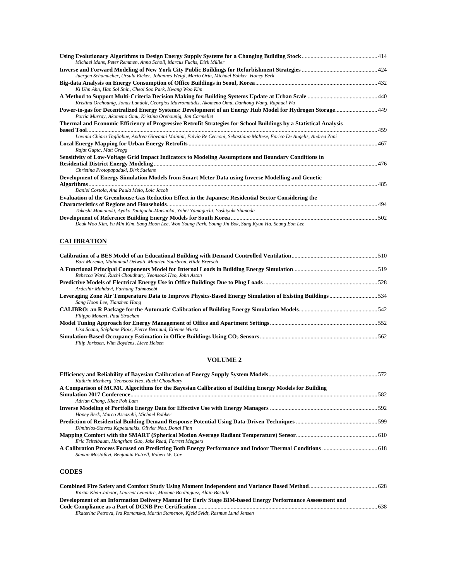| Michael Mans, Peter Remmen, Anna Scholl, Marcus Fuchs, Dirk Müller                                                                                                         |  |
|----------------------------------------------------------------------------------------------------------------------------------------------------------------------------|--|
|                                                                                                                                                                            |  |
| Juergen Schumacher, Ursula Eicker, Johannes Weigl, Mario Orth, Michael Bobker, Honey Berk                                                                                  |  |
|                                                                                                                                                                            |  |
| Ki Uhn Ahn, Han Sol Shin, Cheol Soo Park, Kwang Woo Kim                                                                                                                    |  |
|                                                                                                                                                                            |  |
| Kristina Orehounig, Jonas Landolt, Georgios Mavromatidis, Akomeno Omu, Danhong Wang, Raphael Wu                                                                            |  |
| Power-to-gas for Decentralized Energy Systems: Development of an Energy Hub Model for Hydrogen Storage 49<br>Portia Murray, Akomeno Omu, Kristina Orehounig, Jan Carmeliet |  |
| Thermal and Economic Efficiency of Progressive Retrofit Strategies for School Buildings by a Statistical Analysis                                                          |  |
|                                                                                                                                                                            |  |
| Lavinia Chiara Tagliabue, Andrea Giovanni Mainini, Fulvio Re Cecconi, Sebastiano Maltese, Enrico De Angelis, Andrea Zani                                                   |  |
| Rajat Gupta, Matt Gregg                                                                                                                                                    |  |
| Sensitivity of Low-Voltage Grid Impact Indicators to Modeling Assumptions and Boundary Conditions in                                                                       |  |
|                                                                                                                                                                            |  |
| Christina Protopapadaki, Dirk Saelens                                                                                                                                      |  |
| Development of Energy Simulation Models from Smart Meter Data using Inverse Modelling and Genetic                                                                          |  |
|                                                                                                                                                                            |  |
| Daniel Costola, Ana Paula Melo, Loic Jacob                                                                                                                                 |  |
| <b>Evaluation of the Greenhouse Gas Reduction Effect in the Japanese Residential Sector Considering the</b>                                                                |  |
|                                                                                                                                                                            |  |
| Takashi Momonoki, Ayako Taniguchi-Matsuoka, Yohei Yamaguchi, Yoshiyuki Shimoda                                                                                             |  |
|                                                                                                                                                                            |  |
| Deuk Woo Kim, Yu Min Kim, Sang Hoon Lee, Won Young Park, Young Jin Bok, Sung Kyun Ha, Seung Eon Lee                                                                        |  |

#### **CALIBRATION**

| Bart Merema, Muhannad Delwati, Maarten Sourbron, Hilde Breesch                                           |  |
|----------------------------------------------------------------------------------------------------------|--|
|                                                                                                          |  |
| Rebecca Ward, Ruchi Choudhary, Yeonsook Heo, John Aston                                                  |  |
|                                                                                                          |  |
| Ardeshir Mahdavi, Farhang Tahmasebi                                                                      |  |
| Leveraging Zone Air Temperature Data to Improve Physics-Based Energy Simulation of Existing Buildings534 |  |
| Sang Hoon Lee, Tianzhen Hong                                                                             |  |
|                                                                                                          |  |
| Filippo Monari, Paul Strachan                                                                            |  |
|                                                                                                          |  |
| Lisa Scanu, Stéphane Ploix, Pierre Bernaud, Etienne Wurtz                                                |  |
|                                                                                                          |  |
| Filip Jorissen, Wim Boydens, Lieve Helsen                                                                |  |

#### **VOLUME 2**

| Kathrin Menberg, Yeonsook Heo, Ruchi Choudhary                                                      |  |
|-----------------------------------------------------------------------------------------------------|--|
| A Comparison of MCMC Algorithms for the Bayesian Calibration of Building Energy Models for Building |  |
|                                                                                                     |  |
| Adrian Chong, Khee Poh Lam                                                                          |  |
|                                                                                                     |  |
| Honey Berk, Marco Ascazubi, Michael Bobker                                                          |  |
|                                                                                                     |  |
| Dimitrios-Stavros Kapetanakis, Olivier Neu, Donal Finn                                              |  |
|                                                                                                     |  |
| Eric Teitelbaum, Hongshan Guo, Jake Read, Forrest Meggers                                           |  |
|                                                                                                     |  |
| Saman Mostafavi, Benjamin Futrell, Robert W. Cox                                                    |  |
|                                                                                                     |  |

#### **CODES**

| Karim Khan Juhoor, Laurent Lemaitre, Maxime Boulinguez, Alain Bastide                                     |      |
|-----------------------------------------------------------------------------------------------------------|------|
| Development of an Information Delivery Manual for Early Stage BIM-based Energy Performance Assessment and |      |
|                                                                                                           | -638 |
| Ekaterina Petrova, Iva Romanska, Martin Stamenov, Kjeld Svidt, Rasmus Lund Jensen                         |      |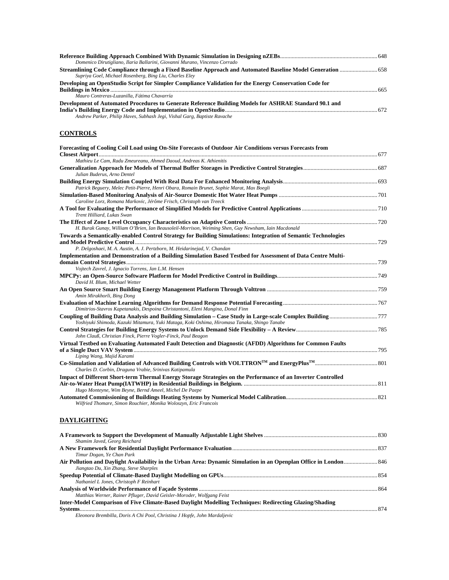| Domenico Dirutigliano, Ilaria Ballarini, Giovanni Murano, Vincenzo Corrado                                                                                                         |  |
|------------------------------------------------------------------------------------------------------------------------------------------------------------------------------------|--|
|                                                                                                                                                                                    |  |
| Supriya Goel, Michael Rosenberg, Bing Liu, Charles Eley                                                                                                                            |  |
| Developing an OpenStudio Script for Simpler Compliance Validation for the Energy Conservation Code for                                                                             |  |
| Mauro Contreras-Luzanilla, Fátima Chavarría                                                                                                                                        |  |
| Development of Automated Procedures to Generate Reference Building Models for ASHRAE Standard 90.1 and<br>Andrew Parker, Philip Haves, Subhash Jegi, Vishal Garg, Baptiste Ravache |  |
| <b>CONTROLS</b>                                                                                                                                                                    |  |
| Forecasting of Cooling Coil Load using On-Site Forecasts of Outdoor Air Conditions versus Forecasts from                                                                           |  |
| Mathieu Le Cam, Radu Zmeureanu, Ahmed Daoud, Andreas K. Athienitis                                                                                                                 |  |
| Julian Buderus, Arno Dentel                                                                                                                                                        |  |
| Patrick Beguery, Melec Petit-Pierre, Henri Obara, Romain Brunet, Sophie Marat, Max Boegli                                                                                          |  |
|                                                                                                                                                                                    |  |
| Caroline Lorz, Romana Markovic, Jérôme Frisch, Christoph van Treeck                                                                                                                |  |
| Trent Hilliard, Lukas Swan                                                                                                                                                         |  |
| H. Burak Gunay, William O'Brien, Ian Beausoleil-Morrison, Weiming Shen, Guy Newsham, Iain Macdonald                                                                                |  |
| Towards a Semantically-enabled Control Strategy for Building Simulations: Integration of Semantic Technologies                                                                     |  |
| P. Delgoshaei, M. A. Austin, A. J. Pertzborn, M. Heidarinejad, V. Chandan                                                                                                          |  |
| Implementation and Demonstration of a Building Simulation Based Testbed for Assessment of Data Centre Multi-                                                                       |  |
| Vojtech Zavrel, J. Ignacio Torrens, Jan L.M. Hensen                                                                                                                                |  |
| David H. Blum, Michael Wetter                                                                                                                                                      |  |
| Amin Mirakhorli, Bing Dong                                                                                                                                                         |  |
| Dimitrios-Stavros Kapetanakis, Despoina Christantoni, Eleni Mangina, Donal Finn                                                                                                    |  |
| Yoshiyuki Shimoda, Kazuki Mitamura, Yuki Mataga, Koki Oshima, Hiromasa Tanaka, Shingo Tanabe                                                                                       |  |
| John Clauß, Christian Finck, Pierre Vogler-Finck, Paul Beagon                                                                                                                      |  |
| Virtual Testbed on Evaluating Automated Fault Detection and Diagnostic (AFDD) Algorithms for Common Faults                                                                         |  |
| Liping Wang, Majid Karami                                                                                                                                                          |  |

**Co-Simulation and Validation of Advanced Building Controls with VOLTTRONTM and EnergyPlusTM**...........................................801 *Charles D. Corbin, Draguna Vrabie, Srinivas Katipamula*  **Impact of Different Short-term Thermal Energy Storage Strategies on the Performance of an Inverter Controlled Air-to-Water Heat Pump(IATWHP) in Residential Buildings in Belgium.** ............................................................................................811 *Hugo Monteyne, Wim Beyne, Bernd Ameel, Michel De Paepe*  **Automated Commissioning of Buildings Heating Systems by Numerical Model Calibration**...............................................................821 *Wilfried Thomare, Simon Rouchier, Monika Woloszyn, Eric Francois* 

#### **DAYLIGHTING**

| Shamim Javed, Georg Reichard                                                                            |  |
|---------------------------------------------------------------------------------------------------------|--|
|                                                                                                         |  |
| Timur Dogan, Ye Chan Park                                                                               |  |
| Jiangtao Du, Xin Zhang, Steve Sharples                                                                  |  |
| Nathaniel L Jones, Christoph F Reinhart                                                                 |  |
| Matthias Werner, Rainer Pfluger, David Geisler-Moroder, Wolfgang Feist                                  |  |
| Inter-Model Comparison of Five Climate-Based Daylight Modelling Techniques: Redirecting Glazing/Shading |  |
| Eleonora Prambilla, Donic A Chi Bool, Christina I Hopfe, John Mardaliania                               |  |

*Eleonora Brembilla, Doris A Chi Pool, Christina J Hopfe, John Mardaljevic*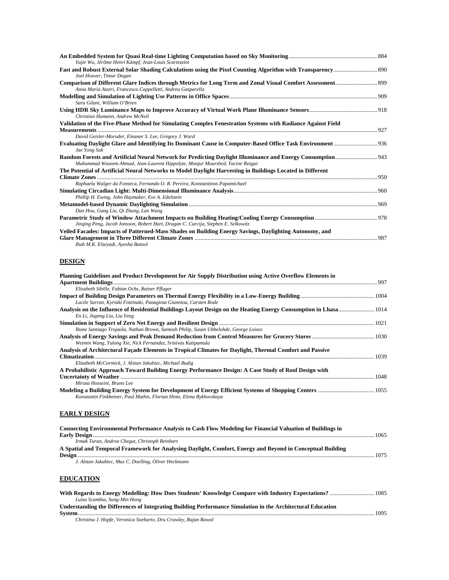| Yujie Wu, Jérôme Henri Kämpf, Jean-Louis Scartezzini                                                                                        |      |
|---------------------------------------------------------------------------------------------------------------------------------------------|------|
|                                                                                                                                             |      |
| Joel Hoover, Timur Dogan                                                                                                                    |      |
| Anna Maria Atzeri, Francesca Cappelletti, Andrea Gasparella                                                                                 |      |
| Sara Gilani, William O'Brien                                                                                                                |      |
| Christian Humann, Andrew McNeil                                                                                                             |      |
| Validation of the Five-Phase Method for Simulating Complex Fenestration Systems with Radiance Against Field                                 |      |
|                                                                                                                                             |      |
| David Geisler-Moroder, Eleanor S. Lee, Gregory J. Ward                                                                                      |      |
| Jae Yong Suk                                                                                                                                |      |
| Muhammad Waseem Ahmad, Jean-Laurent Hippolyte, Monjur Mourshed, Yacine Rezgui                                                               |      |
| The Potential of Artificial Neural Networks to Model Daylight Harvesting in Buildings Located in Different                                  |      |
|                                                                                                                                             |      |
| Raphaela Walger da Fonseca, Fernando O. R. Pereira, Konstantinos Papamichael                                                                |      |
|                                                                                                                                             |      |
| Phillip H. Ewing, John Haymaker, Eve A. Edelstein                                                                                           |      |
| Dan Hou, Gang Liu, Qi Zhang, Lan Wang                                                                                                       | .969 |
| Jinqing Peng, Jacob Jonsson, Robert Hart, Dragan C. Curcija, Stephen E. Selkowitz                                                           |      |
| Veiled Facades: Impacts of Patterned-Mass Shades on Building Energy Savings, Daylighting Autonomy, and<br>Ihab M.K. Elzeyadi, Ayesha Batool |      |

#### **DESIGN**

| Planning Guidelines and Product Development for Air Supply Distribution using Active Overflow Elements in |      |
|-----------------------------------------------------------------------------------------------------------|------|
| Elisabeth Sibille, Fabian Ochs, Rainer Pfluger                                                            |      |
| Lucile Sarran, Kyriaki Foteinaki, Panagiota Gianniou, Carsten Rode                                        |      |
| En Li, Jiaping Liu, Liu Yeng                                                                              |      |
|                                                                                                           |      |
| Ibone Santiago Trojaola, Nathan Brown, Santosh Philip, Susan Ubbelohde, George Loisos                     |      |
| Weimin Wang, Yulong Xie, Nick Fernandez, Srinivas Katipamula                                              |      |
| Analysis of Architectural Façade Elements in Tropical Climates for Daylight, Thermal Comfort and Passive  | 1039 |
| Elizabeth McCormick, J. Alstan Jakubiec, Michael Budig                                                    |      |
| A Probabilistic Approach Toward Building Energy Performance Design: A Case Study of Roof Design with      |      |
| Mirata Hosseini, Bruno Lee                                                                                |      |
| Konstantin Finkbeiner, Paul Mathis, Florian Hintz, Elena Bykhovskaya                                      |      |

## **EARLY DESIGN**

| Connecting Environmental Performance Analysis to Cash Flow Modeling for Financial Valuation of Buildings in |      |
|-------------------------------------------------------------------------------------------------------------|------|
|                                                                                                             | 1065 |
| Irmak Turan, Andrea Chegut, Christoph Reinhart                                                              |      |
| A Spatial and Temporal Framework for Analysing Daylight, Comfort, Energy and Beyond in Conceptual Building  |      |
|                                                                                                             | 1075 |
| J. Alstan Jakubiec, Max C. Doelling, Oliver Heckmann                                                        |      |
|                                                                                                             |      |
| <b>EDUCATION</b>                                                                                            |      |

| Luisa Scambia, Sung-Min Hong                                                                                |      |
|-------------------------------------------------------------------------------------------------------------|------|
| Understanding the Differences of Integrating Building Performance Simulation in the Architectural Education |      |
|                                                                                                             | 1095 |
|                                                                                                             |      |

*Christina J. Hopfe, Veronica Soebarto, Dru Crawley, Rajan Rawal*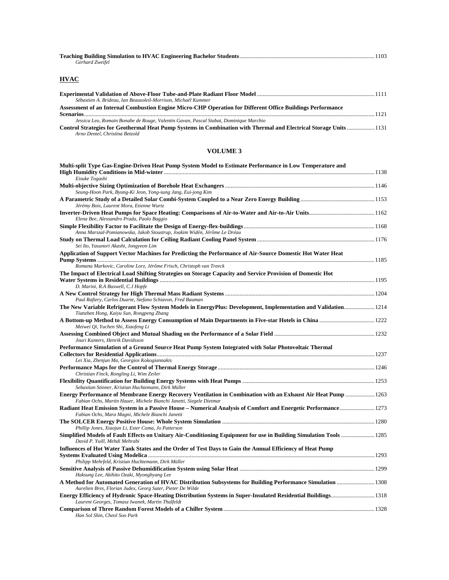| Gerhard Zweifel |  |
|-----------------|--|

## **HVAC**

| Sébastien A. Brideau, Ian Beausoleil-Morrison, Michaël Kummer                                                    |      |
|------------------------------------------------------------------------------------------------------------------|------|
| Assessment of an Internal Combustion Engine Micro-CHP Operation for Different Office Buildings Performance       |      |
|                                                                                                                  | 1121 |
| Jessica Leo, Romain Bonabe de Rouge, Valentin Gavan, Pascal Stabat, Dominique Marchio                            |      |
| Control Strategies for Geothermal Heat Pump Systems in Combination with Thermal and Electrical Storage Units1131 |      |
| Arno Dentel, Christina Betzold                                                                                   |      |

#### **VOLUME 3**

| Multi-split Type Gas-Engine-Driven Heat Pump System Model to Estimate Performance in Low Temperature and                                                                             |  |
|--------------------------------------------------------------------------------------------------------------------------------------------------------------------------------------|--|
| Eisuke Togashi                                                                                                                                                                       |  |
|                                                                                                                                                                                      |  |
| Seung-Hoon Park, Byung-Ki Jeon, Yong-sung Jang, Eui-jong Kim                                                                                                                         |  |
| Jérémy Bois, Laurent Mora, Etienne Wurtz                                                                                                                                             |  |
| Elena Bee, Alessandro Prada, Paolo Baggio                                                                                                                                            |  |
| Anna Marszal-Pomianowska, Jakob Stoustrup, Joakim Widén, Jérôme Le Dréau                                                                                                             |  |
| Sei Ito, Yasunori Akashi, Jongyeon Lim                                                                                                                                               |  |
| Application of Support Vector Machines for Predicting the Performance of Air-Source Domestic Hot Water Heat                                                                          |  |
| Romana Markovic, Caroline Lorz, Jérôme Frisch, Christoph van Treeck                                                                                                                  |  |
| The Impact of Electrical Load Shifting Strategies on Storage Capacity and Service Provision of Domestic Hot                                                                          |  |
| D. Marini, R.A Buswell, C.J Hopfe                                                                                                                                                    |  |
| Paul Raftery, Carlos Duarte, Stefano Schiavon, Fred Bauman                                                                                                                           |  |
| The New Variable Refrigerant Flow System Models in EnergyPlus: Development, Implementation and Validation 1214<br>Tianzhen Hong, Kaiyu Sun, Rongpeng Zhang                           |  |
| Meiwei Qi, Yuchen Shi, Xiaofeng Li                                                                                                                                                   |  |
| Jouri Kanters, Henrik Davidsson                                                                                                                                                      |  |
| Performance Simulation of a Ground Source Heat Pump System Integrated with Solar Photovoltaic Thermal                                                                                |  |
| Lei Xia, Zhenjun Ma, Georgios Kokogiannakis                                                                                                                                          |  |
| Christian Finck, Rongling Li, Wim Zeiler                                                                                                                                             |  |
| Sebastian Stinner, Kristian Huchtemann, Dirk Müller                                                                                                                                  |  |
| Energy Performance of Membrane Energy Recovery Ventilation in Combination with an Exhaust Air Heat Pump  1263<br>Fabian Ochs, Martin Hauer, Michele Bianchi Janetti, Siegele Dietmar |  |
| Radiant Heat Emission System in a Passive House – Numerical Analysis of Comfort and Energetic Performance 1273<br>Fabian Ochs, Mara Magni, Michele Bianchi Janetti                   |  |
|                                                                                                                                                                                      |  |
| Phillip Jones, Xiaojun Li, Ester Coma, Jo Patterson                                                                                                                                  |  |
| Simplified Models of Fault Effects on Unitary Air-Conditioning Equipment for use in Building Simulation Tools  1285<br>David P. Yuill, Mehdi Mehrabi                                 |  |
| Influences of Hot Water Tank States and the Order of Test Days to Gain the Annual Efficiency of Heat Pump                                                                            |  |
| Philipp Mehrfeld, Kristian Huchtemann, Dirk Müller                                                                                                                                   |  |
|                                                                                                                                                                                      |  |
| Haksung Lee, Akihito Ozaki, Myonghyang Lee                                                                                                                                           |  |
| A Method for Automated Generation of HVAC Distribution Subsystems for Building Performance Simulation  1308<br>Aurelien Bres, Florian Judex, Georg Suter, Pieter De Wilde            |  |
| Energy Efficiency of Hydronic Space-Heating Distribution Systems in Super-Insulated Residential Buildings 1318<br>Laurent Georges, Tomasz Iwanek, Martin Thalfeldt                   |  |
| Han Sol Shin, Cheol Soo Park                                                                                                                                                         |  |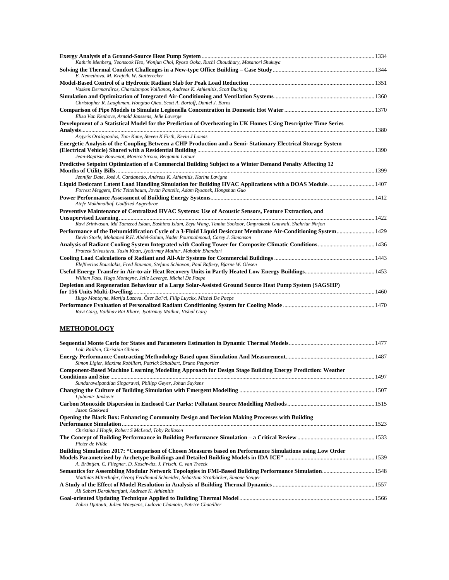| Kathrin Menberg, Yeonsook Heo, Wonjun Choi, Ryozo Ooka, Ruchi Choudhary, Masanori Shukuya                                                                                                      |  |
|------------------------------------------------------------------------------------------------------------------------------------------------------------------------------------------------|--|
|                                                                                                                                                                                                |  |
| E. Nemethova, M. Krajcik, W. Stutterecker                                                                                                                                                      |  |
|                                                                                                                                                                                                |  |
| Vasken Dermardiros, Charalampos Vallianos, Andreas K. Athienitis, Scott Bucking                                                                                                                |  |
|                                                                                                                                                                                                |  |
| Christopher R. Laughman, Hongtao Qiao, Scott A. Bortoff, Daniel J. Burns                                                                                                                       |  |
|                                                                                                                                                                                                |  |
| Elisa Van Kenhove, Arnold Janssens, Jelle Laverge                                                                                                                                              |  |
| Development of a Statistical Model for the Prediction of Overheating in UK Homes Using Descriptive Time Series                                                                                 |  |
|                                                                                                                                                                                                |  |
| Argyris Oraiopoulos, Tom Kane, Steven K Firth, Kevin J Lomas                                                                                                                                   |  |
| Energetic Analysis of the Coupling Between a CHP Production and a Semi-Stationary Electrical Storage System                                                                                    |  |
| Jean-Baptiste Bouvenot, Monica Siroux, Benjamin Latour                                                                                                                                         |  |
|                                                                                                                                                                                                |  |
| Predictive Setpoint Optimization of a Commercial Building Subject to a Winter Demand Penalty Affecting 12                                                                                      |  |
| Jennifer Date, José A. Candanedo, Andreas K. Athienitis, Karine Lavigne                                                                                                                        |  |
|                                                                                                                                                                                                |  |
| Forrest Meggers, Eric Teitelbaum, Jovan Pantelic, Adam Rysanek, Hongshan Guo                                                                                                                   |  |
|                                                                                                                                                                                                |  |
| Atefe Makhmalbaf, Godfried Augenbroe                                                                                                                                                           |  |
| Preventive Maintenance of Centralized HVAC Systems: Use of Acoustic Sensors, Feature Extraction, and                                                                                           |  |
|                                                                                                                                                                                                |  |
| Ravi Srinivasan, Md Tamzeed Islam, Bashima Islam, Zeyu Wang, Tamim Sookoor, Omprakash Gnawali, Shahriar Nirjon                                                                                 |  |
| Performance of the Dehumidification Cycle of a 3-Fluid Liquid Desiccant Membrane Air-Conditioning System  1429<br>Devin Storle, Mohamed R.H. Abdel-Salam, Nader Pourmahmoud, Carey J. Simonson |  |
|                                                                                                                                                                                                |  |
| Prateek Srivastava, Yasin Khan, Jyotirmay Mathur, Mahabir Bhandari                                                                                                                             |  |
|                                                                                                                                                                                                |  |
| Eleftherios Bourdakis, Fred Bauman, Stefano Schiavon, Paul Raftery, Bjarne W. Olesen                                                                                                           |  |
| Willem Faes, Hugo Monteyne, Jelle Laverge, Michel De Paepe                                                                                                                                     |  |
| Depletion and Regeneration Behaviour of a Large Solar-Assisted Ground Source Heat Pump System (SAGSHP)                                                                                         |  |
|                                                                                                                                                                                                |  |
| Hugo Monteyne, Marija Lazova, Özer Ba?ci, Filip Luyckx, Michel De Paepe                                                                                                                        |  |
|                                                                                                                                                                                                |  |
| Ravi Garg, Vaibhav Rai Khare, Jyotirmay Mathur, Vishal Garg                                                                                                                                    |  |
|                                                                                                                                                                                                |  |
| <b>METHODOLOGY</b>                                                                                                                                                                             |  |
|                                                                                                                                                                                                |  |

| Loïc Raillon, Christian Ghiaus                                                                                                                                                |  |
|-------------------------------------------------------------------------------------------------------------------------------------------------------------------------------|--|
| Simon Ligier, Maxime Robillart, Patrick Schalbart, Bruno Peuportier                                                                                                           |  |
| Component-Based Machine Learning Modelling Approach for Design Stage Building Energy Prediction: Weather                                                                      |  |
| Sundaravelpandian Singaravel, Philipp Geyer, Johan Suykens                                                                                                                    |  |
| Ljubomir Jankovic                                                                                                                                                             |  |
| Jason Gaekwad                                                                                                                                                                 |  |
| Opening the Black Box: Enhancing Community Design and Decision Making Processes with Building                                                                                 |  |
| Christina J Hopfe, Robert S McLeod, Toby Rollason                                                                                                                             |  |
| Pieter de Wilde                                                                                                                                                               |  |
| Building Simulation 2017: "Comparison of Chosen Measures based on Performance Simulations using Low Order<br>A. Brüntjen, C. Fliegner, D. Koschwitz, J. Frisch, C. van Treeck |  |
| Matthias Mitterhofer, Georg Ferdinand Schneider, Sebastian Stratbücker, Simone Steiger                                                                                        |  |
| Ali Saberi Derakhtenjani, Andreas K. Athienitis                                                                                                                               |  |
| Zohra Djatouti, Julien Waeytens, Ludovic Chamoin, Patrice Chatellier                                                                                                          |  |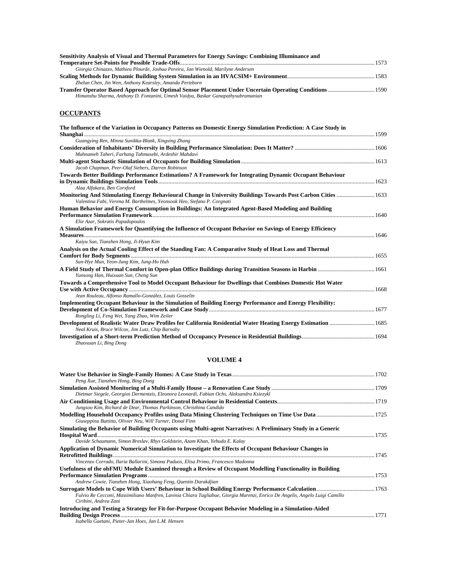| Sensitivity Analysis of Visual and Thermal Parameters for Energy Savings: Combining Illuminance and |  |
|-----------------------------------------------------------------------------------------------------|--|
|                                                                                                     |  |
| Giorgia Chinazzo, Mathieu Plourde, Joshua Pereira, Jan Wienold, Marilyne Andersen                   |  |
|                                                                                                     |  |
| Zhelun Chen, Jin Wen, Anthony Kearsley, Amanda Pertzborn                                            |  |
|                                                                                                     |  |
| Himanshu Sharma, Anthony D. Fontanini, Umesh Vaidya, Baskar Ganapathysubramanian                    |  |

#### **OCCUPANTS**

| The Influence of the Variation in Occupancy Patterns on Domestic Energy Simulation Prediction: A Case Study in                                                                           |  |
|------------------------------------------------------------------------------------------------------------------------------------------------------------------------------------------|--|
| Guangying Ren, Minna Sunikka-Blank, Xingxing Zhang                                                                                                                                       |  |
| Mahnameh Taheri, Farhang Tahmasebi, Ardeshir Mahdavi                                                                                                                                     |  |
| Jacob Chapman, Peer-Olaf Siebers, Darren Robinson                                                                                                                                        |  |
| Towards Better Buildings Performance Estimations? A Framework for Integrating Dynamic Occupant Behaviour                                                                                 |  |
| Alaa Alfakara, Ben Corxford                                                                                                                                                              |  |
| Monitoring And Stimulating Energy Behavioural Change in University Buildings Towards Post Carbon Cities  1633<br>Valentina Fabi, Verena M. Barthelmes, Yeonsook Heo, Stefano P. Corgnati |  |
| Human Behavior and Energy Consumption in Buildings: An Integrated Agent-Based Modeling and Building                                                                                      |  |
| Elie Azar, Sokratis Papadopoulos                                                                                                                                                         |  |
| A Simulation Framework for Quantifying the Influence of Occupant Behavior on Savings of Energy Efficiency                                                                                |  |
| Kaiyu Sun, Tianzhen Hong, Ji-Hyun Kim                                                                                                                                                    |  |
| Analysis on the Actual Cooling Effect of the Standing Fan: A Comparative Study of Heat Loss and Thermal                                                                                  |  |
| Sun-Hye Mun, Yeon-Jung Kim, Jung-Ho Huh                                                                                                                                                  |  |
| Yunsong Han, Huixuan Sun, Cheng Sun                                                                                                                                                      |  |
| Towards a Comprehensive Tool to Model Occupant Behaviour for Dwellings that Combines Domestic Hot Water                                                                                  |  |
| Jean Rouleau, Alfonso Ramallo-González, Louis Gosselin                                                                                                                                   |  |
| <b>Implementing Occupant Behaviour in the Simulation of Building Energy Performance and Energy Flexibility:</b>                                                                          |  |
| Rongling Li, Feng Wei, Yang Zhao, Wim Zeiler                                                                                                                                             |  |
| Development of Realistic Water Draw Profiles for California Residential Water Heating Energy Estimation  1685<br>Neal Kruis, Bruce Wilcox, Jim Lutz, Chip Barnaby                        |  |
| Zhaoxuan Li, Bing Dong                                                                                                                                                                   |  |

#### **VOLUME 4**

| Peng Xue, Tianzhen Hong, Bing Dong                                                                                                                            |      |
|---------------------------------------------------------------------------------------------------------------------------------------------------------------|------|
|                                                                                                                                                               |      |
| Dietmar Siegele, Georgios Dermentzis, Eleonora Leonardi, Fabian Ochs, Aleksandra Ksiezykl                                                                     |      |
| Jungsoo Kim, Richard de Dear, Thomas Parkinson, Christhina Candido                                                                                            |      |
| Giuseppina Buttitta, Olivier Neu, Will Turner, Donal Finn                                                                                                     |      |
| Simulating the Behavior of Building Occupants using Multi-agent Narratives: A Preliminary Study in a Generic                                                  |      |
|                                                                                                                                                               | 1735 |
| Davide Schaumann, Simon Breslav, Rhys Goldstein, Azam Khan, Yehuda E. Kalav                                                                                   |      |
| Application of Dynamic Numerical Simulation to Investigate the Effects of Occupant Behaviour Changes in                                                       |      |
| Vincenzo Corrado, Ilaria Ballarini, Simona Paduos, Elisa Primo, Francesco Madonna                                                                             |      |
| Usefulness of the obFMU Module Examined through a Review of Occupant Modelling Functionality in Building                                                      |      |
| Andrew Cowie, Tianzhen Hong, Xiaohang Feng, Quentin Darakdjian                                                                                                |      |
| Fulvio Re Cecconi, Massimiliano Manfren, Lavinia Chiara Tagliabue, Giorgia Marenzi, Enrico De Angelis, Angelo Luigi Camillo<br>Ciribini, Andrea Zani          |      |
| Introducing and Testing a Strategy for Fit-for-Purpose Occupant Behavior Modeling in a Simulation-Aided<br>Isabella Gaetani, Pieter-Jan Hoes, Jan L.M. Hensen | 1771 |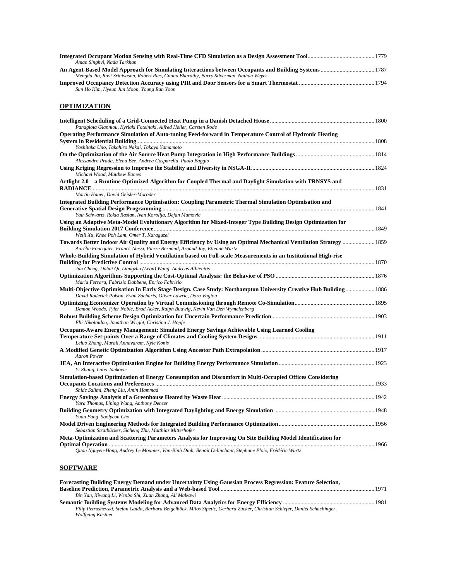| Aman Singhvi, Nada Tarkhan                                                                                                                                                                       |  |
|--------------------------------------------------------------------------------------------------------------------------------------------------------------------------------------------------|--|
|                                                                                                                                                                                                  |  |
| Mengda Jia, Ravi Srinivasan, Robert Ries, Gnana Bharathy, Barry Silverman, Nathan Weyer                                                                                                          |  |
| Sun Ho Kim, Hyeun Jun Moon, Young Ran Yoon                                                                                                                                                       |  |
| <b>OPTIMIZATION</b>                                                                                                                                                                              |  |
| Panagiota Gianniou, Kyriaki Foteinaki, Alfred Heller, Carsten Rode                                                                                                                               |  |
| Operating Performance Simulation of Auto-tuning Feed-forward in Temperature Control of Hydronic Heating<br>Yoshitaka Uno, Takahiro Nakai, Takaya Yamamoto                                        |  |
| Alessandro Prada, Elena Bee, Andrea Gasparella, Paolo Baggio                                                                                                                                     |  |
| Michael Wood, Matthew Eames                                                                                                                                                                      |  |
| Artlight 2.0 – a Runtime Optimized Algorithm for Coupled Thermal and Daylight Simulation with TRNSYS and                                                                                         |  |
| Martin Hauer, David Geisler-Moroder<br>Integrated Building Performance Optimisation: Coupling Parametric Thermal Simulation Optimisation and                                                     |  |
| Yair Schwartz, Rokia Raslan, Ivan Korolija, Dejan Mumovic                                                                                                                                        |  |
| Using an Adaptive Meta-Model Evolutionary Algorithm for Mixed-Integer Type Building Design Optimization for<br>Weili Xu, Khee Poh Lam, Omer T. Karaguzel                                         |  |
| Towards Better Indoor Air Quality and Energy Efficiency by Using an Optimal Mechanical Ventilation Strategy  1859<br>Aurélie Foucquier, Franck Alessi, Pierre Bernaud, Arnaud Jay, Etienne Wurtz |  |
| Whole-Building Simulation of Hybrid Ventilation based on Full-scale Measurements in an Institutional High-rise                                                                                   |  |
| Jun Cheng, Dahai Qi, Liangzhu (Leon) Wang, Andreas Athienitis                                                                                                                                    |  |
| Maria Ferrara, Fabrizio Dabbene, Enrico Fabrizio                                                                                                                                                 |  |
| Multi-Objective Optimisation In Early Stage Design. Case Study: Northampton University Creative Hub Building 1886<br>David Roderick Polson, Evan Zacharis, Oliver Lawrie, Dora Vagiou            |  |
| Damon Woods, Tyler Noble, Brad Acker, Ralph Budwig, Kevin Van Den Wymelenberg                                                                                                                    |  |
| Elli Nikolaidou, Jonathan Wright, Christina J. Hopfe                                                                                                                                             |  |
| Occupant-Aware Energy Management: Simulated Energy Savings Achievable Using Learned Cooling<br>Leluo Zhang, Murali Annavaram, Kyle Konis                                                         |  |
| <b>Aaron Power</b>                                                                                                                                                                               |  |
| Yi Zhang, Lubo Jankovic                                                                                                                                                                          |  |
| Simulation-based Optimization of Energy Consumption and Discomfort in Multi-Occupied Offices Considering<br>Shide Salimi, Zheng Liu, Amin Hammad                                                 |  |
| Yara Thomas, Liping Wang, Anthony Denzer                                                                                                                                                         |  |
| Yuan Fang, Soolyeon Cho                                                                                                                                                                          |  |
| Sebastian Stratbücker, Sicheng Zhu, Matthias Mitterhofer                                                                                                                                         |  |
| Meta-Optimization and Scattering Parameters Analysis for Improving On Site Building Model Identification for                                                                                     |  |
| Quan Nguyen-Hong, Audrey Le Mounier, Van-Binh Dinh, Benoit Delinchant, Stephane Ploix, Frédéric Wurtz                                                                                            |  |
| <b>SOFTWARE</b>                                                                                                                                                                                  |  |

| Forecasting Building Energy Demand under Uncertainty Using Gaussian Process Regression: Feature Selection,                                       |  |
|--------------------------------------------------------------------------------------------------------------------------------------------------|--|
|                                                                                                                                                  |  |
| Bin Yan, Xiwang Li, Wenbo Shi, Xuan Zhang, Ali Malkawi                                                                                           |  |
|                                                                                                                                                  |  |
| Filip Petrushevski, Stefan Gaida, Barbara Beigelböck, Milos Sipetic, Gerhard Zucker, Christian Schiefer, Daniel Schachinger,<br>Wolfgang Kastner |  |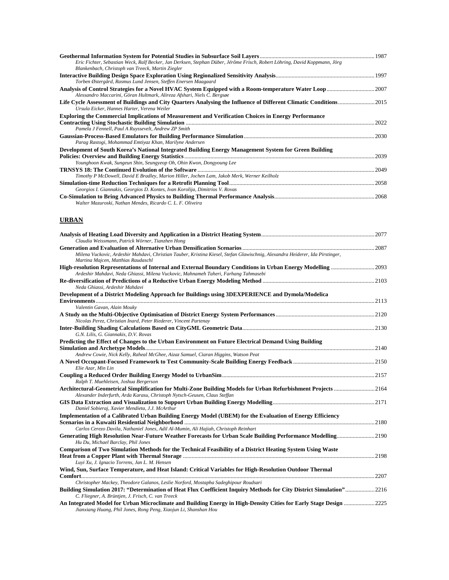| Eric Fichter, Sebastian Weck, Ralf Becker, Jan Derksen, Stephan Düber, Jérôme Frisch, Robert Löhring, David Koppmann, Jörg<br>Blankenbach, Christoph van Treeck, Martin Ziegler |       |
|---------------------------------------------------------------------------------------------------------------------------------------------------------------------------------|-------|
| Torben Østergård, Rasmus Lund Jensen, Steffen Enersen Maagaard                                                                                                                  |       |
| Alessandro Maccarini, Göran Hultmark, Alireza Afshari, Niels C. Bergsøe                                                                                                         |       |
| Ursula Eicker, Hannes Harter, Verena Weiler                                                                                                                                     |       |
| <b>Exploring the Commercial Implications of Measurement and Verification Choices in Energy Performance</b>                                                                      |       |
| Pamela J Fennell, Paul A Ruyssevelt, Andrew ZP Smith                                                                                                                            | 2022  |
| Parag Rastogi, Mohammad Emtiyaz Khan, Marilyne Andersen                                                                                                                         | .2030 |
| Development of South Korea's National Integrated Building Energy Management System for Green Building                                                                           |       |
| Younghoon Kwak, Sungeun Shin, Seungyeop Oh, Ohin Kwon, Dongyoung Lee                                                                                                            | .2039 |
| Timothy P McDowell, David E Bradley, Marion Hiller, Jochen Lam, Jakob Merk, Werner Keilholz                                                                                     | 2049  |
| Georgios I. Giannakis, Georgios D. Kontes, Ivan Korolija, Dimitrios V. Rovas                                                                                                    |       |
| Walter Mazuroski, Nathan Mendes, Ricardo C. L. F. Oliveira                                                                                                                      | .2068 |

# **URBAN**

| Claudia Weissmann, Patrick Wörner, Tianzhen Hong                                                                                                                                                   |  |
|----------------------------------------------------------------------------------------------------------------------------------------------------------------------------------------------------|--|
|                                                                                                                                                                                                    |  |
| Milena Vuckovic, Ardeshir Mahdavi, Christian Tauber, Kristina Kiesel, Stefan Glawischnig, Alexandra Heiderer, Ida Pirstinger,<br>Martina Majcen, Matthias Raudaschl                                |  |
| High-resolution Representations of Internal and External Boundary Conditions in Urban Energy Modelling 2093<br>Ardeshir Mahdavi, Neda Ghiassi, Milena Vuckovic, Mahnameh Taheri, Farhang Tahmasebi |  |
| Neda Ghiassi, Ardeshir Mahdavi                                                                                                                                                                     |  |
| Development of a District Modeling Approach for Buildings using 3DEXPERIENCE and Dymola/Modelica                                                                                                   |  |
|                                                                                                                                                                                                    |  |
| Valentin Gavan, Alain Mouky                                                                                                                                                                        |  |
| Nicolas Perez, Christian Inard, Peter Riederer, Vincent Partenay                                                                                                                                   |  |
|                                                                                                                                                                                                    |  |
| G.N. Lilis, G. Giannakis, D.V. Rovas<br>Predicting the Effect of Changes to the Urban Environment on Future Electrical Demand Using Building                                                       |  |
|                                                                                                                                                                                                    |  |
| Andrew Cowie, Nick Kelly, Raheal McGhee, Aizaz Samuel, Ciaran Higgins, Watson Peat                                                                                                                 |  |
| Elie Azar, Min Lin                                                                                                                                                                                 |  |
| Ralph T. Muehleisen, Joshua Bergerson                                                                                                                                                              |  |
| Architectural-Geometrical Simplification for Multi-Zone Building Models for Urban Refurbishment Projects 2164<br>Alexander Inderfurth, Arda Karasu, Christoph Nytsch-Geusen, Claus Steffan         |  |
| Daniel Sobieraj, Xavier Mendieta, J.J. McArthur                                                                                                                                                    |  |
| Implementation of a Calibrated Urban Building Energy Model (UBEM) for the Evaluation of Energy Efficiency                                                                                          |  |
|                                                                                                                                                                                                    |  |
| Carlos Cerezo Davila, Nathaniel Jones, Adil Al-Mumin, Ali Hajiah, Christoph Reinhart                                                                                                               |  |
| Generating High Resolution Near-Future Weather Forecasts for Urban Scale Building Performance Modelling2190<br>Hu Du, Michael Barclay, Phil Jones                                                  |  |
| Comparison of Two Simulation Methods for the Technical Feasibility of a District Heating System Using Waste                                                                                        |  |
| Luyi Xu, J. Ignacio Torrens, Jan L. M. Hensen                                                                                                                                                      |  |
| Wind, Sun, Surface Temperature, and Heat Island: Critical Variables for High-Resolution Outdoor Thermal                                                                                            |  |
|                                                                                                                                                                                                    |  |
| Christopher Mackey, Theodore Galanos, Leslie Norford, Mostapha Sadeghipour Roudsari                                                                                                                |  |
| Building Simulation 2017: "Determination of Heat Flux Coefficient Inquiry Methods for City District Simulation"2216<br>C. Fliegner, A. Brüntjen, J. Frisch, C. van Treeck                          |  |
| An Integrated Model for Urban Microclimate and Building Energy in High-Density Cities for Early Stage Design  2225<br>Jianxiang Huang, Phil Jones, Rong Peng, Xiaojun Li, Shanshan Hou             |  |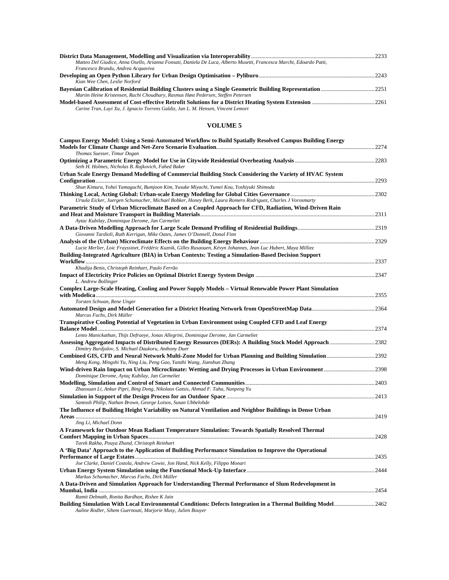| Matteo Del Giudice, Anna Osello, Arianna Fonsati, Daniela De Luca, Alberto Musetti, Francesca Marchi, Edoardo Patti, |  |
|----------------------------------------------------------------------------------------------------------------------|--|
|                                                                                                                      |  |
| Francesco Brundu, Andrea Acquaviva                                                                                   |  |
|                                                                                                                      |  |
| Kian Wee Chen, Leslie Norford                                                                                        |  |
|                                                                                                                      |  |
| Martin Heine Kristensen, Ruchi Choudhary, Rasmus Høst Pedersen, Steffen Petersen                                     |  |
|                                                                                                                      |  |
| Carine Tran, Luyi Xu, J. Ignacio Torrens Galdiz, Jan L. M. Hensen, Vincent Lemort                                    |  |

#### **VOLUME 5**

| Campus Energy Model: Using a Semi-Automated Workflow to Build Spatially Resolved Campus Building Energy                                                                      |  |
|------------------------------------------------------------------------------------------------------------------------------------------------------------------------------|--|
| Thomas Suesser, Timur Dogan                                                                                                                                                  |  |
| Seth H. Holmes, Nicholas B. Rajkovich, Fahed Baker                                                                                                                           |  |
| Urban Scale Energy Demand Modelling of Commercial Building Stock Considering the Variety of HVAC System                                                                      |  |
| Shun Kimura, Yohei Yamaguchi, Bumjoon Kim, Yusuke Miyachi, Yumei Kou, Yoshiyuki Shimoda                                                                                      |  |
| Ursula Eicker, Juergen Schumacher, Michael Bobker, Honey Berk, Laura Romero Rodriguez, Charles J Vorosmarty                                                                  |  |
| Parametric Study of Urban Microclimate Based on a Coupled Approach for CFD, Radiation, Wind-Driven Rain<br>Aytac Kubilay, Dominique Derome, Jan Carmeliet                    |  |
| Giovanni Tardioli, Ruth Kerrigan, Mike Oates, James O'Donnell, Donal Finn                                                                                                    |  |
| Lucie Merlier, Loic Frayssinet, Frédéric Kuznik, Gilles Rusaouen, Kévyn Johannes, Jean Luc Hubert, Maya Milliez                                                              |  |
| Building-Integrated Agriculture (BIA) in Urban Contexts: Testing a Simulation-Based Decision Support                                                                         |  |
| Khadija Benis, Christoph Reinhart, Paulo Ferrão                                                                                                                              |  |
| L. Andrew Bollinger                                                                                                                                                          |  |
| Complex Large-Scale Heating, Cooling and Power Supply Models – Virtual Renewable Power Plant Simulation<br>Torsten Schwan, Rene Unger                                        |  |
| Marcus Fuchs, Dirk Müller                                                                                                                                                    |  |
| Transpirative Cooling Potential of Vegetation in Urban Environment using Coupled CFD and Leaf Energy                                                                         |  |
| Lento Manickathan, Thijs Defraeye, Jonas Allegrini, Dominique Derome, Jan Carmeliet                                                                                          |  |
| Assessing Aggregated Impacts of Distributed Energy Resources (DERs): A Building Stock Model Approach 2382<br>Dimitry Burdjalov, S. Michael Daukoru, Anthony Duer             |  |
| Meng Kong, Mingshi Yu, Ning Liu, Peng Gao, Yanzhi Wang, Jianshun Zhang                                                                                                       |  |
| Dominique Derome, Aytaç Kubilay, Jan Carmeliet                                                                                                                               |  |
|                                                                                                                                                                              |  |
| Zhaoxuan Li, Ankur Pipri, Bing Dong, Nikolaos Gatsis, Ahmad F. Taha, Nanpeng Yu                                                                                              |  |
| Santosh Philip, Nathan Brown, George Loisos, Susan Ubbelohde                                                                                                                 |  |
| The Influence of Building Height Variability on Natural Ventilation and Neighbor Buildings in Dense Urban                                                                    |  |
| Jing Li, Michael Donn<br>A Framework for Outdoor Mean Radiant Temperature Simulation: Towards Spatially Resolved Thermal                                                     |  |
| Tarek Rakha, Pouya Zhand, Christoph Reinhart                                                                                                                                 |  |
| A 'Big Data' Approach to the Application of Building Performance Simulation to Improve the Operational                                                                       |  |
| Joe Clarke, Daniel Costola, Andrew Cowie, Jon Hand, Nick Kelly, Filippo Monari                                                                                               |  |
| Markus Schumacher, Marcus Fuchs, Dirk Müller                                                                                                                                 |  |
| A Data-Driven and Simulation Approach for Understanding Thermal Performance of Slum Redevelopment in                                                                         |  |
| Ramit Debnath, Ronita Bardhan, Rishee K Jain                                                                                                                                 |  |
| Building Simulation With Local Environmental Conditions: Defects Integration in a Thermal Building Model2462<br>Auline Rodler, Sihem Guernouti, Marjorie Musy, Julien Bouyer |  |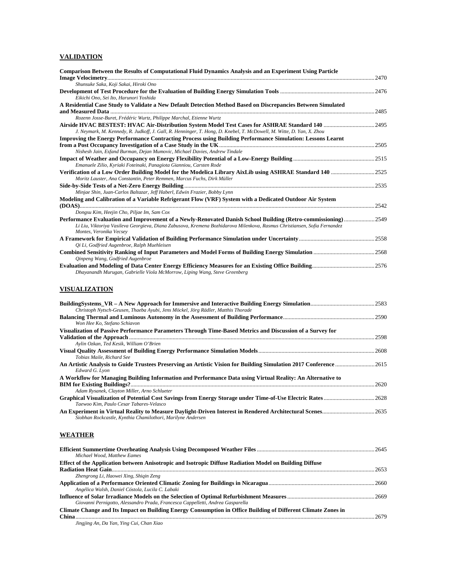#### **VALIDATION**

| Comparison Between the Results of Computational Fluid Dynamics Analysis and an Experiment Using Particle                                                                                     |  |
|----------------------------------------------------------------------------------------------------------------------------------------------------------------------------------------------|--|
| Shunsuke Saka, Koji Sakai, Hiroki Ono                                                                                                                                                        |  |
| Eikichi Ono, Sei Ito, Harunori Yoshida                                                                                                                                                       |  |
| A Residential Case Study to Validate a New Default Detection Method Based on Discrepancies Between Simulated                                                                                 |  |
|                                                                                                                                                                                              |  |
| Rozenn Josse-Buret, Frédéric Wurtz, Philippe Marchal, Etienne Wurtz<br>J. Neymark, M. Kennedy, R. Judkoff, J. Gall, R. Henninger, T. Hong, D. Knebel, T. McDowell, M. Witte, D. Yan, X. Zhou |  |
| <b>Improving the Energy Performance Contracting Process using Building Performance Simulation: Lessons Learnt</b>                                                                            |  |
|                                                                                                                                                                                              |  |
| Nishesh Jain, Esfand Burman, Dejan Mumovic, Michael Davies, Andrew Tindale                                                                                                                   |  |
| Emanuele Zilio, Kyriaki Foteinaki, Panagiota Gianniou, Carsten Rode                                                                                                                          |  |
|                                                                                                                                                                                              |  |
| Moritz Lauster, Ana Constantin, Peter Remmen, Marcus Fuchs, Dirk Müller                                                                                                                      |  |
|                                                                                                                                                                                              |  |
| Minjae Shin, Juan-Carlos Baltazar, Jeff Haberl, Edwin Frazier, Bobby Lynn<br>Modeling and Calibration of a Variable Refrigerant Flow (VRF) System with a Dedicated Outdoor Air System        |  |
|                                                                                                                                                                                              |  |
| Dongsu Kim, Heejin Cho, Piljae Im, Sam Cox                                                                                                                                                   |  |
| Performance Evaluation and Improvement of a Newly-Renovated Danish School Building (Retro-commissioning) 2549                                                                                |  |
| Li Liu, Viktoriya Vasileva Georgieva, Diana Zabusova, Kremena Bozhidarova Milenkova, Rasmus Christiansen, Sofia Fernandez<br>Montes, Veronika Vecsey                                         |  |
|                                                                                                                                                                                              |  |
| Qi Li, Godfried Augenbroe, Ralph Muehleisen                                                                                                                                                  |  |
|                                                                                                                                                                                              |  |
| Qinpeng Wang, Godfried Augenbroe                                                                                                                                                             |  |
| Dhayanandh Murugan, Gabrielle Viola McMorrow, Liping Wang, Steve Greenberg                                                                                                                   |  |
|                                                                                                                                                                                              |  |
| <b>VISUALIZATION</b>                                                                                                                                                                         |  |
|                                                                                                                                                                                              |  |
|                                                                                                                                                                                              |  |
| Christoph Nytsch-Geusen, Thaeba Ayubi, Jens Möckel, Jörg Rädler, Matthis Thorade                                                                                                             |  |
| Won Hee Ko, Stefano Schiavon                                                                                                                                                                 |  |
| Visualization of Passive Performance Parameters Through Time-Based Metrics and Discussion of a Survey for                                                                                    |  |
|                                                                                                                                                                                              |  |
| Aylin Ozkan, Ted Kesik, William O'Brien                                                                                                                                                      |  |
| Tobias Maile, Richard See                                                                                                                                                                    |  |
| An Artistic Analysis to Guide Trustees Preserving an Artistic Vision for Building Simulation 2017 Conference 2615                                                                            |  |
| Edward G. Lyon                                                                                                                                                                               |  |
| A Workflow for Managing Building Information and Performance Data using Virtual Reality: An Alternative to                                                                                   |  |
| Adam Rysanek, Clayton Miller, Arno Schlueter                                                                                                                                                 |  |
| Graphical Visualization of Potential Cost Savings from Energy Storage under Time-of-Use Electric Rates 2628                                                                                  |  |
| Taewoo Kim, Paulo Cesar Tabares-Velasco                                                                                                                                                      |  |
| An Experiment in Virtual Reality to Measure Daylight-Driven Interest in Rendered Architectural Scenes2635                                                                                    |  |
| Siobhan Rockcastle, Kynthia Chamilothori, Marilyne Andersen                                                                                                                                  |  |
| WEATHER                                                                                                                                                                                      |  |
|                                                                                                                                                                                              |  |
|                                                                                                                                                                                              |  |
| Michael Wood, Matthew Eames<br>Effect of the Application between Anisotropic and Isotropic Diffuse Radiation Model on Building Diffuse                                                       |  |
|                                                                                                                                                                                              |  |
| Zhengrong Li, Haowei Xing, Shiqin Zeng                                                                                                                                                       |  |
|                                                                                                                                                                                              |  |
| Angélica Walsh, Daniel Cóstola, Lucila C. Labaki                                                                                                                                             |  |

**Influence of Solar Irradiance Models on the Selection of Optimal Refurbishment Measures**............................................................2669 *Giovanni Pernigotto, Alessandro Prada, Francesca Cappelletti, Andrea Gasparella*  **Climate Change and Its Impact on Building Energy Consumption in Office Building of Different Climate Zones in China**..............................................................................................................................................................................................................2679 *Jingjing An, Da Yan, Ying Cui, Chan Xiao*